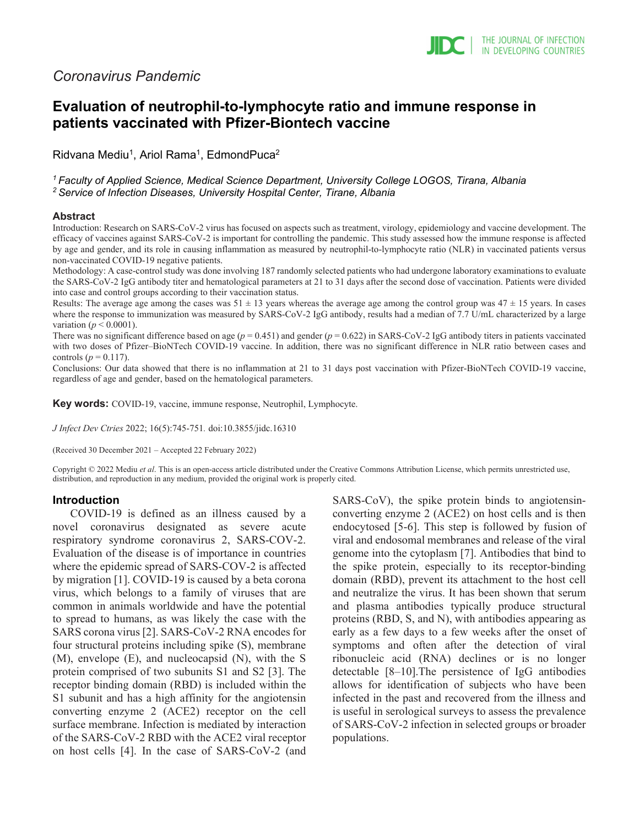# *Coronavirus Pandemic*

# **Evaluation of neutrophil-to-lymphocyte ratio and immune response in patients vaccinated with Pfizer-Biontech vaccine**

Ridvana Mediu<sup>1</sup>, Ariol Rama<sup>1</sup>, EdmondPuca<sup>2</sup>

*1 Faculty of Applied Science, Medical Science Department, University College LOGOS, Tirana, Albania 2 Service of Infection Diseases, University Hospital Center, Tirane, Albania*

#### **Abstract**

Introduction: Research on SARS-CoV-2 virus has focused on aspects such as treatment, virology, epidemiology and vaccine development. The efficacy of vaccines against SARS-CoV-2 is important for controlling the pandemic. This study assessed how the immune response is affected by age and gender, and its role in causing inflammation as measured by neutrophil-to-lymphocyte ratio (NLR) in vaccinated patients versus non-vaccinated COVID-19 negative patients.

Methodology: A case-control study was done involving 187 randomly selected patients who had undergone laboratory examinations to evaluate the SARS-CoV-2 IgG antibody titer and hematological parameters at 21 to 31 days after the second dose of vaccination. Patients were divided into case and control groups according to their vaccination status.

Results: The average age among the cases was  $51 \pm 13$  years whereas the average age among the control group was  $47 \pm 15$  years. In cases where the response to immunization was measured by SARS-CoV-2 IgG antibody, results had a median of 7.7 U/mL characterized by a large variation ( $p < 0.0001$ ).

There was no significant difference based on age ( $p = 0.451$ ) and gender ( $p = 0.622$ ) in SARS-CoV-2 IgG antibody titers in patients vaccinated with two doses of Pfizer–BioNTech COVID-19 vaccine. In addition, there was no significant difference in NLR ratio between cases and controls ( $p = 0.117$ ).

Conclusions: Our data showed that there is no inflammation at 21 to 31 days post vaccination with Pfizer-BioNTech COVID-19 vaccine, regardless of age and gender, based on the hematological parameters.

**Key words:** COVID-19, vaccine, immune response, Neutrophil, Lymphocyte.

*J Infect Dev Ctries* 2022; 16(5):745-751*.* doi:10.3855/jidc.16310

(Received 30 December 2021 – Accepted 22 February 2022)

Copyright © 2022 Mediu *et al*. This is an open-access article distributed under the Creative Commons Attribution License, which permits unrestricted use, distribution, and reproduction in any medium, provided the original work is properly cited.

### **Introduction**

COVID-19 is defined as an illness caused by a novel coronavirus designated as severe acute respiratory syndrome coronavirus 2, SARS-COV-2. Evaluation of the disease is of importance in countries where the epidemic spread of SARS-COV-2 is affected by migration [1]. COVID-19 is caused by a beta corona virus, which belongs to a family of viruses that are common in animals worldwide and have the potential to spread to humans, as was likely the case with the SARS corona virus [2]. SARS-CoV-2 RNA encodes for four structural proteins including spike (S), membrane (M), envelope (E), and nucleocapsid (N), with the S protein comprised of two subunits S1 and S2 [3]. The receptor binding domain (RBD) is included within the S1 subunit and has a high affinity for the angiotensin converting enzyme 2 (ACE2) receptor on the cell surface membrane. Infection is mediated by interaction of the SARS-CoV-2 RBD with the ACE2 viral receptor on host cells [4]. In the case of SARS-CoV-2 (and SARS-CoV), the spike protein binds to angiotensinconverting enzyme 2 (ACE2) on host cells and is then endocytosed [5-6]. This step is followed by fusion of viral and endosomal membranes and release of the viral genome into the cytoplasm [7]. Antibodies that bind to the spike protein, especially to its receptor-binding domain (RBD), prevent its attachment to the host cell and neutralize the virus. It has been shown that serum and plasma antibodies typically produce structural proteins (RBD, S, and N), with antibodies appearing as early as a few days to a few weeks after the onset of symptoms and often after the detection of viral ribonucleic acid (RNA) declines or is no longer detectable [8–10].The persistence of IgG antibodies allows for identification of subjects who have been infected in the past and recovered from the illness and is useful in serological surveys to assess the prevalence of SARS-CoV-2 infection in selected groups or broader populations.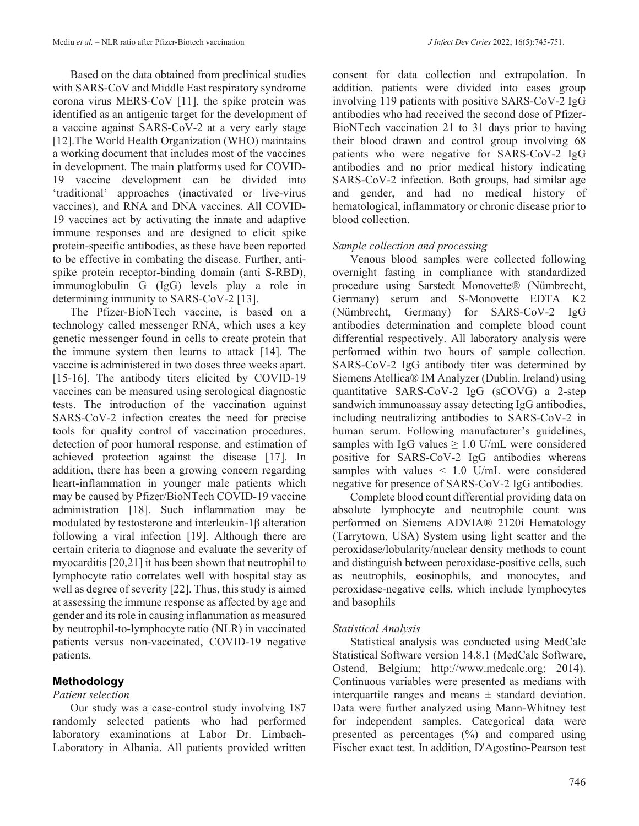Based on the data obtained from preclinical studies with SARS-CoV and Middle East respiratory syndrome corona virus MERS-CoV [11], the spike protein was identified as an antigenic target for the development of a vaccine against SARS-CoV-2 at a very early stage [12]. The World Health Organization (WHO) maintains a working document that includes most of the vaccines in development. The main platforms used for COVID-19 vaccine development can be divided into 'traditional' approaches (inactivated or live-virus vaccines), and RNA and DNA vaccines. All COVID-19 vaccines act by activating the innate and adaptive immune responses and are designed to elicit spike protein-specific antibodies, as these have been reported to be effective in combating the disease. Further, antispike protein receptor-binding domain (anti S-RBD), immunoglobulin G (IgG) levels play a role in determining immunity to SARS-CoV-2 [13].

The Pfizer-BioNTech vaccine, is based on a technology called messenger RNA, which uses a key genetic messenger found in cells to create protein that the immune system then learns to attack [14]. The vaccine is administered in two doses three weeks apart. [15-16]. The antibody titers elicited by COVID-19 vaccines can be measured using serological diagnostic tests. The introduction of the vaccination against SARS-CoV-2 infection creates the need for precise tools for quality control of vaccination procedures, detection of poor humoral response, and estimation of achieved protection against the disease [17]. In addition, there has been a growing concern regarding heart-inflammation in younger male patients which may be caused by Pfizer/BioNTech COVID-19 vaccine administration [18]. Such inflammation may be modulated by testosterone and interleukin-1β alteration following a viral infection [19]. Although there are certain criteria to diagnose and evaluate the severity of myocarditis [20,21] it has been shown that neutrophil to lymphocyte ratio correlates well with hospital stay as well as degree of severity [22]. Thus, this study is aimed at assessing the immune response as affected by age and gender and its role in causing inflammation as measured by neutrophil-to-lymphocyte ratio (NLR) in vaccinated patients versus non-vaccinated, COVID-19 negative patients.

# **Methodology**

### *Patient selection*

Our study was a case-control study involving 187 randomly selected patients who had performed laboratory examinations at Labor Dr. Limbach-Laboratory in Albania. All patients provided written

consent for data collection and extrapolation. In addition, patients were divided into cases group involving 119 patients with positive SARS-CoV-2 IgG antibodies who had received the second dose of Pfizer-BioNTech vaccination 21 to 31 days prior to having their blood drawn and control group involving 68 patients who were negative for SARS-CoV-2 IgG antibodies and no prior medical history indicating SARS-CoV-2 infection. Both groups, had similar age and gender, and had no medical history of hematological, inflammatory or chronic disease prior to blood collection.

# *Sample collection and processing*

Venous blood samples were collected following overnight fasting in compliance with standardized procedure using Sarstedt Monovette® (Nümbrecht, Germany) serum and S-Monovette EDTA K2 (Nümbrecht, Germany) for SARS-CoV-2 IgG antibodies determination and complete blood count differential respectively. All laboratory analysis were performed within two hours of sample collection. SARS-CoV-2 IgG antibody titer was determined by Siemens Atellica® IM Analyzer (Dublin, Ireland) using quantitative SARS-CoV-2 IgG (sCOVG) a 2-step sandwich immunoassay assay detecting IgG antibodies, including neutralizing antibodies to SARS-CoV-2 in human serum. Following manufacturer's guidelines, samples with IgG values  $\geq 1.0$  U/mL were considered positive for SARS-CoV-2 IgG antibodies whereas samples with values < 1.0 U/mL were considered negative for presence of SARS-CoV-2 IgG antibodies.

Complete blood count differential providing data on absolute lymphocyte and neutrophile count was performed on Siemens ADVIA® 2120i Hematology (Tarrytown, USA) System using light scatter and the peroxidase/lobularity/nuclear density methods to count and distinguish between peroxidase-positive cells, such as neutrophils, eosinophils, and monocytes, and peroxidase-negative cells, which include lymphocytes and basophils

# *Statistical Analysis*

Statistical analysis was conducted using MedCalc Statistical Software version 14.8.1 (MedCalc Software, Ostend, Belgium; http://www.medcalc.org; 2014). Continuous variables were presented as medians with interquartile ranges and means  $\pm$  standard deviation. Data were further analyzed using Mann-Whitney test for independent samples. Categorical data were presented as percentages (%) and compared using Fischer exact test. In addition, D'Agostino-Pearson test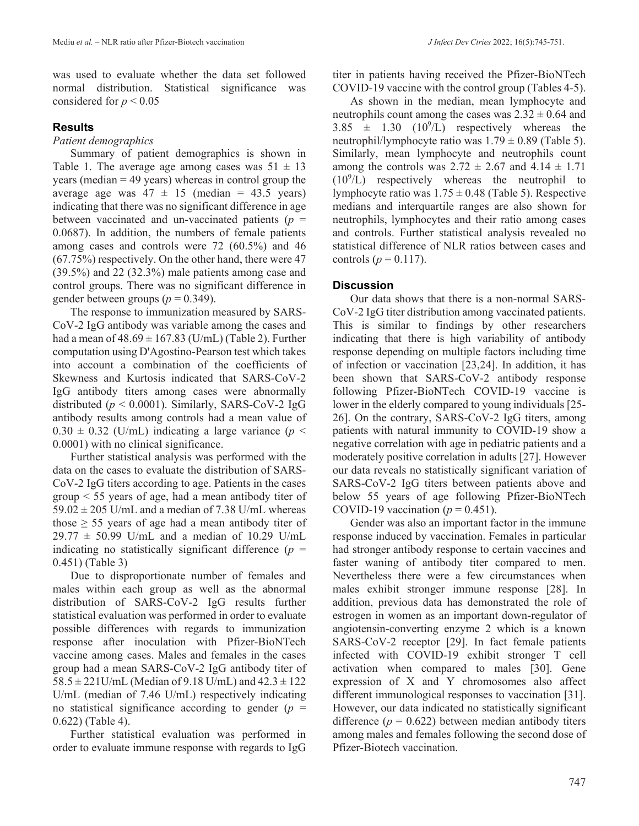# **Results**

### *Patient demographics*

Summary of patient demographics is shown in Table 1. The average age among cases was  $51 \pm 13$ years (median = 49 years) whereas in control group the average age was  $47 \pm 15$  (median = 43.5 years) indicating that there was no significant difference in age between vaccinated and un-vaccinated patients  $(p =$ 0.0687). In addition, the numbers of female patients among cases and controls were 72 (60.5%) and 46 (67.75%) respectively. On the other hand, there were 47 (39.5%) and 22 (32.3%) male patients among case and control groups. There was no significant difference in gender between groups  $(p = 0.349)$ .

The response to immunization measured by SARS-CoV-2 IgG antibody was variable among the cases and had a mean of  $48.69 \pm 167.83$  (U/mL) (Table 2). Further computation using D'Agostino-Pearson test which takes into account a combination of the coefficients of Skewness and Kurtosis indicated that SARS-CoV-2 IgG antibody titers among cases were abnormally distributed ( $p < 0.0001$ ). Similarly, SARS-CoV-2 IgG antibody results among controls had a mean value of  $0.30 \pm 0.32$  (U/mL) indicating a large variance ( $p <$ 0.0001) with no clinical significance.

Further statistical analysis was performed with the data on the cases to evaluate the distribution of SARS-CoV-2 IgG titers according to age. Patients in the cases group < 55 years of age, had a mean antibody titer of  $59.02 \pm 205$  U/mL and a median of 7.38 U/mL whereas those  $\geq$  55 years of age had a mean antibody titer of  $29.77 \pm 50.99$  U/mL and a median of 10.29 U/mL indicating no statistically significant difference  $(p =$ 0.451) (Table 3)

Due to disproportionate number of females and males within each group as well as the abnormal distribution of SARS-CoV-2 IgG results further statistical evaluation was performed in order to evaluate possible differences with regards to immunization response after inoculation with Pfizer-BioNTech vaccine among cases. Males and females in the cases group had a mean SARS-CoV-2 IgG antibody titer of  $58.5 \pm 221$ U/mL (Median of 9.18 U/mL) and  $42.3 \pm 122$ U/mL (median of 7.46 U/mL) respectively indicating no statistical significance according to gender (*p* = 0.622) (Table 4).

Further statistical evaluation was performed in order to evaluate immune response with regards to IgG titer in patients having received the Pfizer-BioNTech COVID-19 vaccine with the control group (Tables 4-5).

As shown in the median, mean lymphocyte and neutrophils count among the cases was  $2.32 \pm 0.64$  and 3.85  $\pm$  1.30 (10<sup>9</sup>/L) respectively whereas the neutrophil/lymphocyte ratio was  $1.79 \pm 0.89$  (Table 5). Similarly, mean lymphocyte and neutrophils count among the controls was  $2.72 \pm 2.67$  and  $4.14 \pm 1.71$  $(10<sup>9</sup>/L)$  respectively whereas the neutrophil to lymphocyte ratio was  $1.75 \pm 0.48$  (Table 5). Respective medians and interquartile ranges are also shown for neutrophils, lymphocytes and their ratio among cases and controls. Further statistical analysis revealed no statistical difference of NLR ratios between cases and controls ( $p = 0.117$ ).

### **Discussion**

Our data shows that there is a non-normal SARS-CoV-2 IgG titer distribution among vaccinated patients. This is similar to findings by other researchers indicating that there is high variability of antibody response depending on multiple factors including time of infection or vaccination [23,24]. In addition, it has been shown that SARS-CoV-2 antibody response following Pfizer-BioNTech COVID-19 vaccine is lower in the elderly compared to young individuals [25- 26]. On the contrary, SARS-CoV-2 IgG titers, among patients with natural immunity to COVID-19 show a negative correlation with age in pediatric patients and a moderately positive correlation in adults [27]. However our data reveals no statistically significant variation of SARS-CoV-2 IgG titers between patients above and below 55 years of age following Pfizer-BioNTech COVID-19 vaccination ( $p = 0.451$ ).

Gender was also an important factor in the immune response induced by vaccination. Females in particular had stronger antibody response to certain vaccines and faster waning of antibody titer compared to men. Nevertheless there were a few circumstances when males exhibit stronger immune response [28]. In addition, previous data has demonstrated the role of estrogen in women as an important down-regulator of angiotensin-converting enzyme 2 which is a known SARS-CoV-2 receptor [29]. In fact female patients infected with COVID-19 exhibit stronger T cell activation when compared to males [30]. Gene expression of X and Y chromosomes also affect different immunological responses to vaccination [31]. However, our data indicated no statistically significant difference  $(p = 0.622)$  between median antibody titers among males and females following the second dose of Pfizer-Biotech vaccination.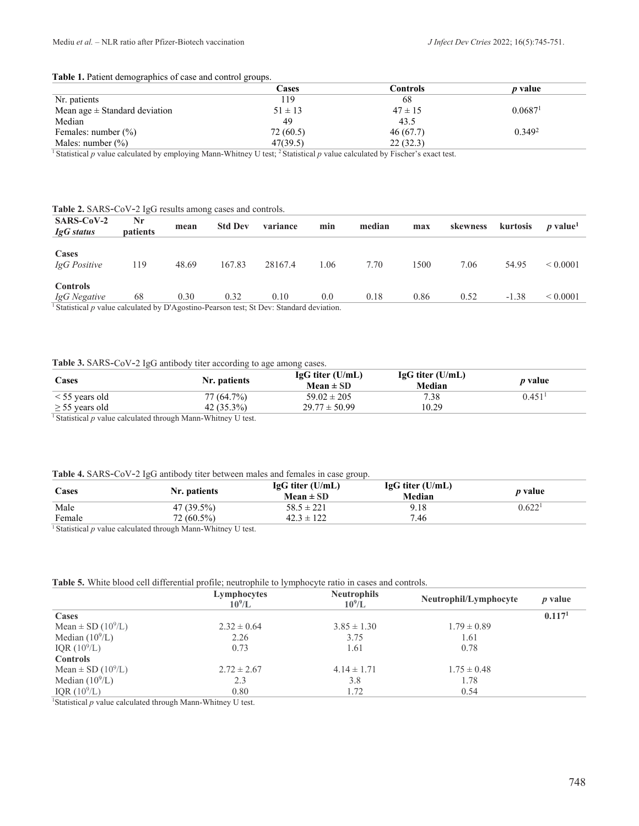#### **Table 1.** Patient demographics of case and control groups.

| - -                               |             |             |                     |
|-----------------------------------|-------------|-------------|---------------------|
|                                   | Cases       | Controls    | <i>p</i> value      |
| Nr. patients                      | 119         | 68          |                     |
| Mean age $\pm$ Standard deviation | $51 \pm 13$ | $47 \pm 15$ | 0.0687 <sup>1</sup> |
| Median                            | 49          | 43.5        |                     |
| Females: number $(\%)$            | 72 (60.5)   | 46(67.7)    | 0.349 <sup>2</sup>  |
| Males: number $(\%)$              | 47(39.5)    | 22(32.3)    |                     |
|                                   |             |             |                     |

<sup>1</sup> Statistical *p* value calculated by employing Mann-Whitney U test; 2 Statistical *p* value calculated by Fischer's exact test.

#### **Table 2.** SARS-CoV-2 IgG results among cases and controls.

| Nr<br><b>patients</b> | mean  | <b>Std Dev</b> | variance | min  | median                                                                                              | max  | skewness | kurtosis | <i>p</i> value <sup>1</sup> |
|-----------------------|-------|----------------|----------|------|-----------------------------------------------------------------------------------------------------|------|----------|----------|-----------------------------|
| 119                   | 48.69 | 167.83         | 28167.4  | 1.06 | 7.70                                                                                                | 1500 | 7.06     | 54.95    | ${}< 0.0001$                |
| 68                    | 0.30  | 0.32           | 0.10     | 0.0  | 0.18                                                                                                | 0.86 | 0.52     | $-1.38$  | ${}_{0.0001}$               |
|                       |       |                |          |      | $\frac{1}{2}$ Statistical payalue calculated by D'Agostino Degrson test: St Dev: Standard deviation |      |          |          |                             |

Statistical *p* value calculated by D'Agostino-Pearson test; St Dev: Standard deviation.

#### **Table 3.** SARS-CoV-2 IgG antibody titer according to age among cases.

| Cases               | Nr. patients                                                                                          | $IgG$ titer (U/mL)<br>$Mean \pm SD$ | $IgG$ titer (U/mL)<br>Median | <i>p</i> value |
|---------------------|-------------------------------------------------------------------------------------------------------|-------------------------------------|------------------------------|----------------|
| $\le$ 55 years old  | 77 (64.7%)                                                                                            | $59.02 \pm 205$                     | 7.38                         | 0.451          |
| $\geq$ 55 years old | $42(35.3\%)$                                                                                          | $29.77 \pm 50.99$                   | 10.29                        |                |
|                     | $\frac{1}{2}$ Constitutional constant and contract distances to $M_{\rm{max}}$ . With the conditional |                                     |                              |                |

Statistical *p* value calculated through Mann-Whitney U test.

#### **Table 4.** SARS-CoV-2 IgG antibody titer between males and females in case group.

| Cases  | Nr. patients | $IgG$ titer (U/mL)<br>Mean $\pm$ SD | $IgG$ titer (U/mL)<br>Median | <i>p</i> value     |
|--------|--------------|-------------------------------------|------------------------------|--------------------|
| Male   | 47 (39.5%)   | $58.5 \pm 221$                      | 9.18                         | 0.622 <sup>1</sup> |
| Female | 72 (60.5%)   | $42.3 \pm 122$                      | 7.46                         |                    |

<sup>1</sup> Statistical *p* value calculated through Mann-Whitney U test.

#### **Table 5.** White blood cell differential profile; neutrophile to lymphocyte ratio in cases and controls.

|                                    | Lymphocytes<br>$10^9$ /L | <b>Neutrophils</b><br>$10^9$ /L | Neutrophil/Lymphocyte | $p$ value          |
|------------------------------------|--------------------------|---------------------------------|-----------------------|--------------------|
| Cases                              |                          |                                 |                       | 0.117 <sup>1</sup> |
| Mean $\pm$ SD (10 <sup>9</sup> /L) | $2.32 \pm 0.64$          | $3.85 \pm 1.30$                 | $1.79 \pm 0.89$       |                    |
| Median $(10^9/L)$                  | 2.26                     | 3.75                            | 1.61                  |                    |
| IQR $(10^{9}/L)$                   | 0.73                     | 1.61                            | 0.78                  |                    |
| <b>Controls</b>                    |                          |                                 |                       |                    |
| Mean $\pm$ SD (10 <sup>9</sup> /L) | $2.72 \pm 2.67$          | $4.14 \pm 1.71$                 | $1.75 \pm 0.48$       |                    |
| Median $(10^9/L)$                  | 2.3                      | 3.8                             | 1.78                  |                    |
| IQR $(10^{9}/L)$                   | 0.80                     | 1.72                            | 0.54                  |                    |

<sup>1</sup>Statistical p value calculated through Mann-Whitney U test.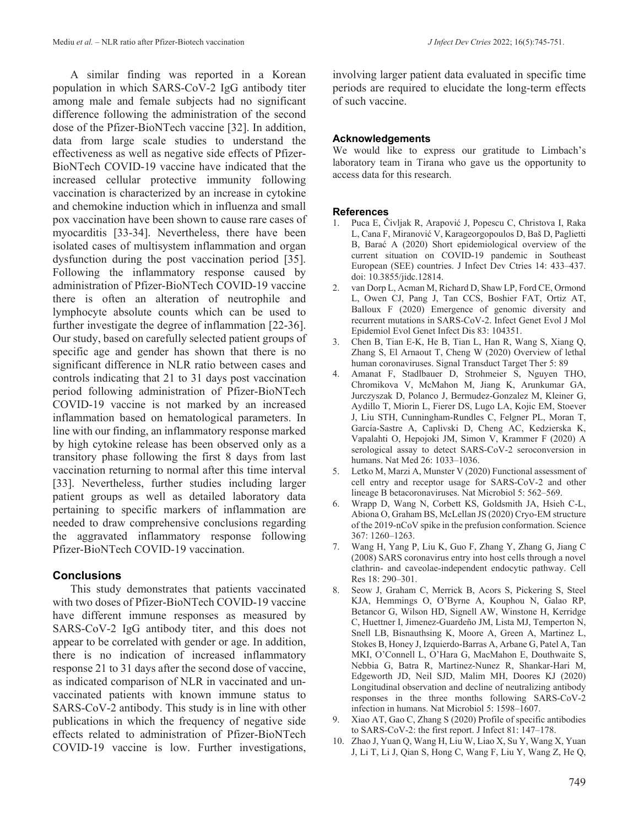A similar finding was reported in a Korean population in which SARS-CoV-2 IgG antibody titer among male and female subjects had no significant difference following the administration of the second dose of the Pfizer-BioNTech vaccine [32]. In addition, data from large scale studies to understand the effectiveness as well as negative side effects of Pfizer-BioNTech COVID-19 vaccine have indicated that the increased cellular protective immunity following vaccination is characterized by an increase in cytokine and chemokine induction which in influenza and small pox vaccination have been shown to cause rare cases of myocarditis [33-34]. Nevertheless, there have been isolated cases of multisystem inflammation and organ dysfunction during the post vaccination period [35]. Following the inflammatory response caused by administration of Pfizer-BioNTech COVID-19 vaccine there is often an alteration of neutrophile and lymphocyte absolute counts which can be used to further investigate the degree of inflammation [22-36]. Our study, based on carefully selected patient groups of specific age and gender has shown that there is no significant difference in NLR ratio between cases and controls indicating that 21 to 31 days post vaccination period following administration of Pfizer-BioNTech COVID-19 vaccine is not marked by an increased inflammation based on hematological parameters. In line with our finding, an inflammatory response marked by high cytokine release has been observed only as a transitory phase following the first 8 days from last vaccination returning to normal after this time interval [33]. Nevertheless, further studies including larger patient groups as well as detailed laboratory data pertaining to specific markers of inflammation are needed to draw comprehensive conclusions regarding the aggravated inflammatory response following Pfizer-BioNTech COVID-19 vaccination.

# **Conclusions**

This study demonstrates that patients vaccinated with two doses of Pfizer-BioNTech COVID-19 vaccine have different immune responses as measured by SARS-CoV-2 IgG antibody titer, and this does not appear to be correlated with gender or age. In addition, there is no indication of increased inflammatory response 21 to 31 days after the second dose of vaccine, as indicated comparison of NLR in vaccinated and unvaccinated patients with known immune status to SARS-CoV-2 antibody. This study is in line with other publications in which the frequency of negative side effects related to administration of Pfizer-BioNTech COVID-19 vaccine is low. Further investigations,

involving larger patient data evaluated in specific time periods are required to elucidate the long-term effects of such vaccine.

### **Acknowledgements**

We would like to express our gratitude to Limbach's laboratory team in Tirana who gave us the opportunity to access data for this research.

### **References**

- 1. Puca E, Čivljak R, Arapović J, Popescu C, Christova I, Raka L, Cana F, Miranović V, Karageorgopoulos D, Baš D, Paglietti B, Barać A (2020) Short epidemiological overview of the current situation on COVID-19 pandemic in Southeast European (SEE) countries. J Infect Dev Ctries 14: 433–437. doi: 10.3855/jidc.12814.
- 2. van Dorp L, Acman M, Richard D, Shaw LP, Ford CE, Ormond L, Owen CJ, Pang J, Tan CCS, Boshier FAT, Ortiz AT, Balloux F (2020) Emergence of genomic diversity and recurrent mutations in SARS-CoV-2. Infect Genet Evol J Mol Epidemiol Evol Genet Infect Dis 83: 104351.
- 3. Chen B, Tian E-K, He B, Tian L, Han R, Wang S, Xiang Q, Zhang S, El Arnaout T, Cheng W (2020) Overview of lethal human coronaviruses. Signal Transduct Target Ther 5: 89
- 4. Amanat F, Stadlbauer D, Strohmeier S, Nguyen THO, Chromikova V, McMahon M, Jiang K, Arunkumar GA, Jurczyszak D, Polanco J, Bermudez-Gonzalez M, Kleiner G, Aydillo T, Miorin L, Fierer DS, Lugo LA, Kojic EM, Stoever J, Liu STH, Cunningham-Rundles C, Felgner PL, Moran T, García-Sastre A, Caplivski D, Cheng AC, Kedzierska K, Vapalahti O, Hepojoki JM, Simon V, Krammer F (2020) A serological assay to detect SARS-CoV-2 seroconversion in humans. Nat Med 26: 1033–1036.
- 5. Letko M, Marzi A, Munster V (2020) Functional assessment of cell entry and receptor usage for SARS-CoV-2 and other lineage B betacoronaviruses. Nat Microbiol 5: 562–569.
- 6. Wrapp D, Wang N, Corbett KS, Goldsmith JA, Hsieh C-L, Abiona O, Graham BS, McLellan JS (2020) Cryo-EM structure of the 2019-nCoV spike in the prefusion conformation. Science 367: 1260–1263.
- 7. Wang H, Yang P, Liu K, Guo F, Zhang Y, Zhang G, Jiang C (2008) SARS coronavirus entry into host cells through a novel clathrin- and caveolae-independent endocytic pathway. Cell Res 18: 290–301.
- 8. Seow J, Graham C, Merrick B, Acors S, Pickering S, Steel KJA, Hemmings O, O'Byrne A, Kouphou N, Galao RP, Betancor G, Wilson HD, Signell AW, Winstone H, Kerridge C, Huettner I, Jimenez-Guardeño JM, Lista MJ, Temperton N, Snell LB, Bisnauthsing K, Moore A, Green A, Martinez L, Stokes B, Honey J, Izquierdo-Barras A, Arbane G, Patel A, Tan MKI, O'Connell L, O'Hara G, MacMahon E, Douthwaite S, Nebbia G, Batra R, Martinez-Nunez R, Shankar-Hari M, Edgeworth JD, Neil SJD, Malim MH, Doores KJ (2020) Longitudinal observation and decline of neutralizing antibody responses in the three months following SARS-CoV-2 infection in humans. Nat Microbiol 5: 1598–1607.
- 9. Xiao AT, Gao C, Zhang S (2020) Profile of specific antibodies to SARS-CoV-2: the first report. J Infect 81: 147–178.
- 10. Zhao J, Yuan Q, Wang H, Liu W, Liao X, Su Y, Wang X, Yuan J, Li T, Li J, Qian S, Hong C, Wang F, Liu Y, Wang Z, He Q,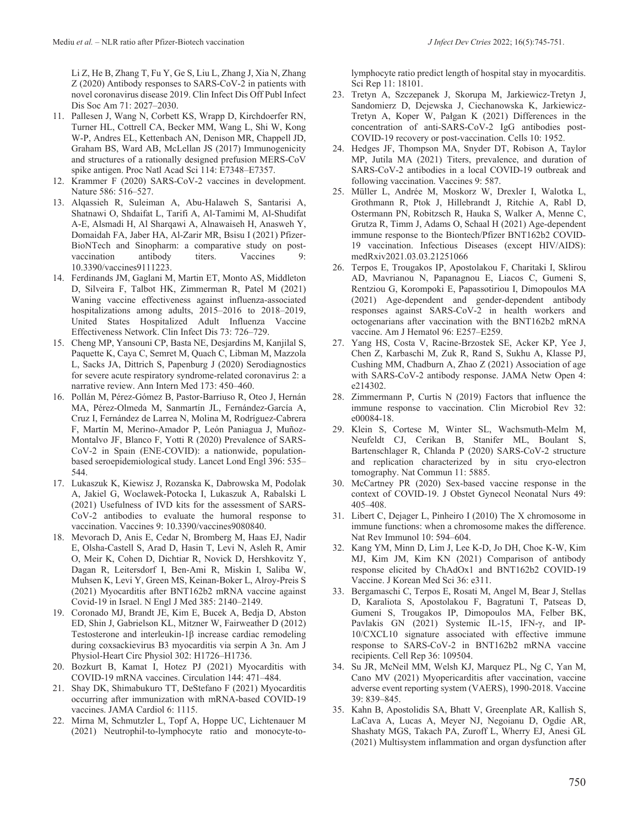Li Z, He B, Zhang T, Fu Y, Ge S, Liu L, Zhang J, Xia N, Zhang Z (2020) Antibody responses to SARS-CoV-2 in patients with novel coronavirus disease 2019. Clin Infect Dis Off Publ Infect Dis Soc Am 71: 2027–2030.

- 11. Pallesen J, Wang N, Corbett KS, Wrapp D, Kirchdoerfer RN, Turner HL, Cottrell CA, Becker MM, Wang L, Shi W, Kong W-P, Andres EL, Kettenbach AN, Denison MR, Chappell JD, Graham BS, Ward AB, McLellan JS (2017) Immunogenicity and structures of a rationally designed prefusion MERS-CoV spike antigen. Proc Natl Acad Sci 114: E7348–E7357.
- 12. Krammer F (2020) SARS-CoV-2 vaccines in development. Nature 586: 516–527.
- 13. Alqassieh R, Suleiman A, Abu-Halaweh S, Santarisi A, Shatnawi O, Shdaifat L, Tarifi A, Al-Tamimi M, Al-Shudifat A-E, Alsmadi H, Al Sharqawi A, Alnawaiseh H, Anasweh Y, Domaidah FA, Jaber HA, Al-Zarir MR, Bsisu I (2021) Pfizer-BioNTech and Sinopharm: a comparative study on postvaccination antibody titers. Vaccines 10.3390/vaccines9111223.
- 14. Ferdinands JM, Gaglani M, Martin ET, Monto AS, Middleton D, Silveira F, Talbot HK, Zimmerman R, Patel M (2021) Waning vaccine effectiveness against influenza-associated hospitalizations among adults, 2015–2016 to 2018–2019, United States Hospitalized Adult Influenza Vaccine Effectiveness Network. Clin Infect Dis 73: 726–729.
- 15. Cheng MP, Yansouni CP, Basta NE, Desjardins M, Kanjilal S, Paquette K, Caya C, Semret M, Quach C, Libman M, Mazzola L, Sacks JA, Dittrich S, Papenburg J (2020) Serodiagnostics for severe acute respiratory syndrome-related coronavirus 2: a narrative review. Ann Intern Med 173: 450–460.
- 16. Pollán M, Pérez-Gómez B, Pastor-Barriuso R, Oteo J, Hernán MA, Pérez-Olmeda M, Sanmartín JL, Fernández-García A, Cruz I, Fernández de Larrea N, Molina M, Rodríguez-Cabrera F, Martín M, Merino-Amador P, León Paniagua J, Muñoz-Montalvo JF, Blanco F, Yotti R (2020) Prevalence of SARS-CoV-2 in Spain (ENE-COVID): a nationwide, populationbased seroepidemiological study. Lancet Lond Engl 396: 535– 544.
- 17. Lukaszuk K, Kiewisz J, Rozanska K, Dabrowska M, Podolak A, Jakiel G, Woclawek-Potocka I, Lukaszuk A, Rabalski L (2021) Usefulness of IVD kits for the assessment of SARS-CoV-2 antibodies to evaluate the humoral response to vaccination. Vaccines 9: 10.3390/vaccines9080840.
- 18. Mevorach D, Anis E, Cedar N, Bromberg M, Haas EJ, Nadir E, Olsha-Castell S, Arad D, Hasin T, Levi N, Asleh R, Amir O, Meir K, Cohen D, Dichtiar R, Novick D, Hershkovitz Y, Dagan R, Leitersdorf I, Ben-Ami R, Miskin I, Saliba W, Muhsen K, Levi Y, Green MS, Keinan-Boker L, Alroy-Preis S (2021) Myocarditis after BNT162b2 mRNA vaccine against Covid-19 in Israel. N Engl J Med 385: 2140–2149.
- 19. Coronado MJ, Brandt JE, Kim E, Bucek A, Bedja D, Abston ED, Shin J, Gabrielson KL, Mitzner W, Fairweather D (2012) Testosterone and interleukin-1β increase cardiac remodeling during coxsackievirus B3 myocarditis via serpin A 3n. Am J Physiol-Heart Circ Physiol 302: H1726–H1736.
- 20. Bozkurt B, Kamat I, Hotez PJ (2021) Myocarditis with COVID-19 mRNA vaccines. Circulation 144: 471–484.
- 21. Shay DK, Shimabukuro TT, DeStefano F (2021) Myocarditis occurring after immunization with mRNA-based COVID-19 vaccines. JAMA Cardiol 6: 1115.
- 22. Mirna M, Schmutzler L, Topf A, Hoppe UC, Lichtenauer M (2021) Neutrophil-to-lymphocyte ratio and monocyte-to-

lymphocyte ratio predict length of hospital stay in myocarditis. Sci Rep 11: 18101.

- 23. Tretyn A, Szczepanek J, Skorupa M, Jarkiewicz-Tretyn J, Sandomierz D, Dejewska J, Ciechanowska K, Jarkiewicz-Tretyn A, Koper W, Pałgan K (2021) Differences in the concentration of anti-SARS-CoV-2 IgG antibodies post-COVID-19 recovery or post-vaccination. Cells 10: 1952.
- 24. Hedges JF, Thompson MA, Snyder DT, Robison A, Taylor MP, Jutila MA (2021) Titers, prevalence, and duration of SARS-CoV-2 antibodies in a local COVID-19 outbreak and following vaccination. Vaccines 9: 587.
- 25. Müller L, Andrée M, Moskorz W, Drexler I, Walotka L, Grothmann R, Ptok J, Hillebrandt J, Ritchie A, Rabl D, Ostermann PN, Robitzsch R, Hauka S, Walker A, Menne C, Grutza R, Timm J, Adams O, Schaal H (2021) Age-dependent immune response to the Biontech/Pfizer BNT162b2 COVID-19 vaccination. Infectious Diseases (except HIV/AIDS): medRxiv2021.03.03.21251066
- 26. Terpos E, Trougakos IP, Apostolakou F, Charitaki I, Sklirou AD, Mavrianou N, Papanagnou E, Liacos C, Gumeni S, Rentziou G, Korompoki E, Papassotiriou I, Dimopoulos MA (2021) Age‐dependent and gender‐dependent antibody responses against SARS‐CoV‐2 in health workers and octogenarians after vaccination with the BNT162b2 mRNA vaccine. Am J Hematol 96: E257–E259.
- 27. Yang HS, Costa V, Racine-Brzostek SE, Acker KP, Yee J, Chen Z, Karbaschi M, Zuk R, Rand S, Sukhu A, Klasse PJ, Cushing MM, Chadburn A, Zhao Z (2021) Association of age with SARS-CoV-2 antibody response. JAMA Netw Open 4: e214302.
- 28. Zimmermann P, Curtis N (2019) Factors that influence the immune response to vaccination. Clin Microbiol Rev 32: e00084-18.
- 29. Klein S, Cortese M, Winter SL, Wachsmuth-Melm M, Neufeldt CJ, Cerikan B, Stanifer ML, Boulant S, Bartenschlager R, Chlanda P (2020) SARS-CoV-2 structure and replication characterized by in situ cryo-electron tomography. Nat Commun 11: 5885.
- 30. McCartney PR (2020) Sex-based vaccine response in the context of COVID-19. J Obstet Gynecol Neonatal Nurs 49: 405–408.
- 31. Libert C, Dejager L, Pinheiro I (2010) The X chromosome in immune functions: when a chromosome makes the difference. Nat Rev Immunol 10: 594–604.
- 32. Kang YM, Minn D, Lim J, Lee K-D, Jo DH, Choe K-W, Kim MJ, Kim JM, Kim KN (2021) Comparison of antibody response elicited by ChAdOx1 and BNT162b2 COVID-19 Vaccine. J Korean Med Sci 36: e311.
- 33. Bergamaschi C, Terpos E, Rosati M, Angel M, Bear J, Stellas D, Karaliota S, Apostolakou F, Bagratuni T, Patseas D, Gumeni S, Trougakos IP, Dimopoulos MA, Felber BK, Pavlakis GN (2021) Systemic IL-15, IFN-γ, and IP-10/CXCL10 signature associated with effective immune response to SARS-CoV-2 in BNT162b2 mRNA vaccine recipients. Cell Rep 36: 109504.
- 34. Su JR, McNeil MM, Welsh KJ, Marquez PL, Ng C, Yan M, Cano MV (2021) Myopericarditis after vaccination, vaccine adverse event reporting system (VAERS), 1990-2018. Vaccine 39: 839–845.
- 35. Kahn B, Apostolidis SA, Bhatt V, Greenplate AR, Kallish S, LaCava A, Lucas A, Meyer NJ, Negoianu D, Ogdie AR, Shashaty MGS, Takach PA, Zuroff L, Wherry EJ, Anesi GL (2021) Multisystem inflammation and organ dysfunction after